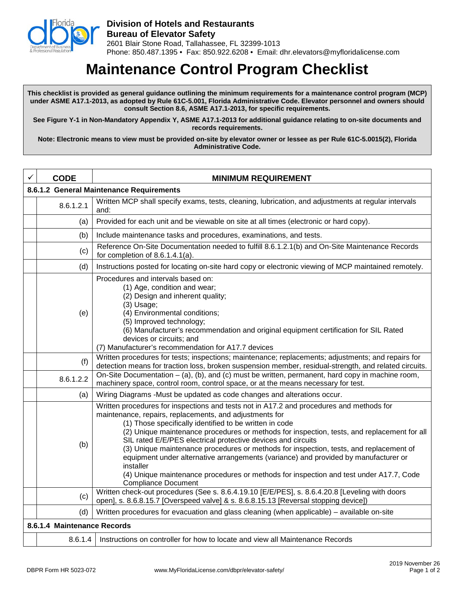

## **Maintenance Control Program Checklist**

**This checklist is provided as general guidance outlining the minimum requirements for a maintenance control program (MCP) under ASME A17.1-2013, as adopted by Rule 61C-5.001, Florida Administrative Code. Elevator personnel and owners should consult Section 8.6, ASME A17.1-2013, for specific requirements.** 

**See Figure Y-1 in Non-Mandatory Appendix Y, ASME A17.1-2013 for additional guidance relating to on-site documents and records requirements.**

**Note: Electronic means to view must be provided on-site by elevator owner or lessee as per Rule 61C-5.0015(2), Florida Administrative Code.** 

|                                          | <b>CODE</b> | <b>MINIMUM REQUIREMENT</b>                                                                                                                                                                                                                                                                                                                                                                                                                                                                                                                                                                                                                                                                          |  |
|------------------------------------------|-------------|-----------------------------------------------------------------------------------------------------------------------------------------------------------------------------------------------------------------------------------------------------------------------------------------------------------------------------------------------------------------------------------------------------------------------------------------------------------------------------------------------------------------------------------------------------------------------------------------------------------------------------------------------------------------------------------------------------|--|
| 8.6.1.2 General Maintenance Requirements |             |                                                                                                                                                                                                                                                                                                                                                                                                                                                                                                                                                                                                                                                                                                     |  |
|                                          | 8.6.1.2.1   | Written MCP shall specify exams, tests, cleaning, lubrication, and adjustments at regular intervals<br>and:                                                                                                                                                                                                                                                                                                                                                                                                                                                                                                                                                                                         |  |
|                                          | (a)         | Provided for each unit and be viewable on site at all times (electronic or hard copy).                                                                                                                                                                                                                                                                                                                                                                                                                                                                                                                                                                                                              |  |
|                                          | (b)         | Include maintenance tasks and procedures, examinations, and tests.                                                                                                                                                                                                                                                                                                                                                                                                                                                                                                                                                                                                                                  |  |
|                                          | (c)         | Reference On-Site Documentation needed to fulfill 8.6.1.2.1(b) and On-Site Maintenance Records<br>for completion of $8.6.1.4.1(a)$ .                                                                                                                                                                                                                                                                                                                                                                                                                                                                                                                                                                |  |
|                                          | (d)         | Instructions posted for locating on-site hard copy or electronic viewing of MCP maintained remotely.                                                                                                                                                                                                                                                                                                                                                                                                                                                                                                                                                                                                |  |
|                                          | (e)         | Procedures and intervals based on:<br>(1) Age, condition and wear;<br>(2) Design and inherent quality;<br>$(3)$ Usage;<br>(4) Environmental conditions;<br>(5) Improved technology;<br>(6) Manufacturer's recommendation and original equipment certification for SIL Rated<br>devices or circuits; and<br>(7) Manufacturer's recommendation for A17.7 devices                                                                                                                                                                                                                                                                                                                                      |  |
|                                          | (f)         | Written procedures for tests; inspections; maintenance; replacements; adjustments; and repairs for<br>detection means for traction loss, broken suspension member, residual-strength, and related circuits.                                                                                                                                                                                                                                                                                                                                                                                                                                                                                         |  |
|                                          | 8.6.1.2.2   | On-Site Documentation $-$ (a), (b), and (c) must be written, permanent, hard copy in machine room,<br>machinery space, control room, control space, or at the means necessary for test.                                                                                                                                                                                                                                                                                                                                                                                                                                                                                                             |  |
|                                          | (a)         | Wiring Diagrams -Must be updated as code changes and alterations occur.                                                                                                                                                                                                                                                                                                                                                                                                                                                                                                                                                                                                                             |  |
|                                          | (b)         | Written procedures for inspections and tests not in A17.2 and procedures and methods for<br>maintenance, repairs, replacements, and adjustments for<br>(1) Those specifically identified to be written in code<br>(2) Unique maintenance procedures or methods for inspection, tests, and replacement for all<br>SIL rated E/E/PES electrical protective devices and circuits<br>(3) Unique maintenance procedures or methods for inspection, tests, and replacement of<br>equipment under alternative arrangements (variance) and provided by manufacturer or<br>installer<br>(4) Unique maintenance procedures or methods for inspection and test under A17.7, Code<br><b>Compliance Document</b> |  |
|                                          | (c)         | Written check-out procedures (See s. 8.6.4.19.10 [E/E/PES], s. 8.6.4.20.8 [Leveling with doors<br>open], s. 8.6.8.15.7 [Overspeed valve] & s. 8.6.8.15.13 [Reversal stopping device])                                                                                                                                                                                                                                                                                                                                                                                                                                                                                                               |  |
|                                          | (d)         | Written procedures for evacuation and glass cleaning (when applicable) – available on-site                                                                                                                                                                                                                                                                                                                                                                                                                                                                                                                                                                                                          |  |
| 8.6.1.4 Maintenance Records              |             |                                                                                                                                                                                                                                                                                                                                                                                                                                                                                                                                                                                                                                                                                                     |  |
|                                          | 8.6.1.4     | Instructions on controller for how to locate and view all Maintenance Records                                                                                                                                                                                                                                                                                                                                                                                                                                                                                                                                                                                                                       |  |